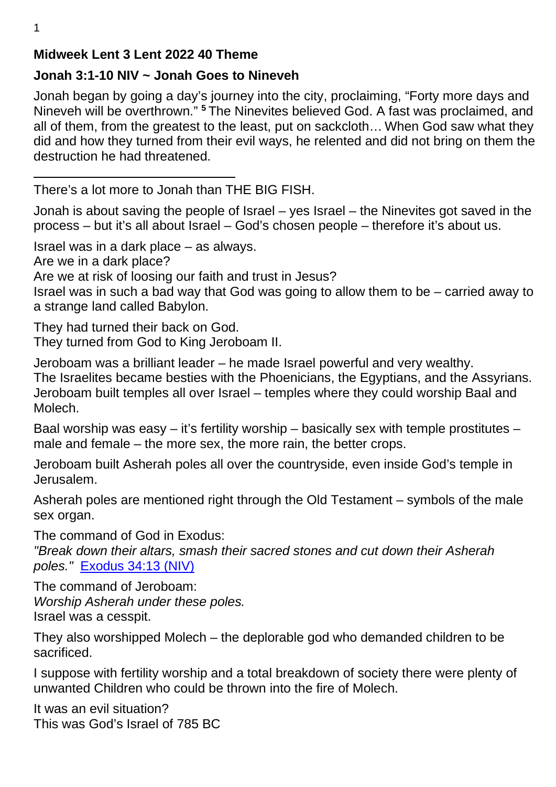# **Midweek Lent 3 Lent 2022 40 Theme**

# **Jonah 3:1-10 NIV ~ Jonah Goes to Nineveh**

Jonah began by going a day's journey into the city, proclaiming, "Forty more days and Nineveh will be overthrown." **<sup>5</sup>**The Ninevites believed God. A fast was proclaimed, and all of them, from the greatest to the least, put on sackcloth… When God saw what they did and how they turned from their evil ways, he relented and did not bring on them the destruction he had threatened.

There's a lot more to Jonah than THE BIG FISH.

Jonah is about saving the people of Israel – yes Israel – the Ninevites got saved in the process – but it's all about Israel – God's chosen people – therefore it's about us.

Israel was in a dark place – as always.

Are we in a dark place?

Are we at risk of loosing our faith and trust in Jesus?

Israel was in such a bad way that God was going to allow them to be – carried away to a strange land called Babylon.

They had turned their back on God.

They turned from God to King Jeroboam II.

Jeroboam was a brilliant leader – he made Israel powerful and very wealthy.

The Israelites became besties with the Phoenicians, the Egyptians, and the Assyrians. Jeroboam built temples all over Israel – temples where they could worship Baal and Molech.

Baal worship was easy  $-$  it's fertility worship  $-$  basically sex with temple prostitutes  $$ male and female – the more sex, the more rain, the better crops.

Jeroboam built Asherah poles all over the countryside, even inside God's temple in Jerusalem.

Asherah poles are mentioned right through the Old Testament – symbols of the male sex organ.

The command of God in Exodus:

*"Break down their altars, smash their sacred stones and cut down their Asherah poles."* Exodus 34:13 (NIV)

The command of Jeroboam: *Worship Asherah under these poles.*  Israel was a cesspit.

They also worshipped Molech – the deplorable god who demanded children to be sacrificed.

I suppose with fertility worship and a total breakdown of society there were plenty of unwanted Children who could be thrown into the fire of Molech.

It was an evil situation? This was God's Israel of 785 BC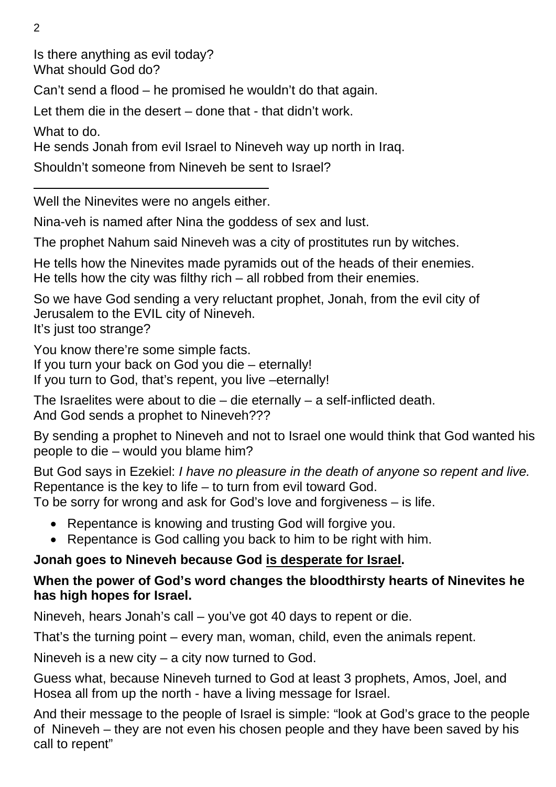Is there anything as evil today? What should God do?

Can't send a flood – he promised he wouldn't do that again.

Let them die in the desert – done that - that didn't work.

What to do.

He sends Jonah from evil Israel to Nineveh way up north in Iraq.

Shouldn't someone from Nineveh be sent to Israel?

Well the Ninevites were no angels either.

Nina-veh is named after Nina the goddess of sex and lust.

The prophet Nahum said Nineveh was a city of prostitutes run by witches.

He tells how the Ninevites made pyramids out of the heads of their enemies. He tells how the city was filthy rich – all robbed from their enemies.

So we have God sending a very reluctant prophet, Jonah, from the evil city of Jerusalem to the EVIL city of Nineveh.

It's just too strange?

You know there're some simple facts.

If you turn your back on God you die – eternally!

If you turn to God, that's repent, you live –eternally!

The Israelites were about to die – die eternally – a self-inflicted death. And God sends a prophet to Nineveh???

By sending a prophet to Nineveh and not to Israel one would think that God wanted his people to die – would you blame him?

But God says in Ezekiel: *I have no pleasure in the death of anyone so repent and live.*  Repentance is the key to life – to turn from evil toward God.

To be sorry for wrong and ask for God's love and forgiveness – is life.

- Repentance is knowing and trusting God will forgive you.
- Repentance is God calling you back to him to be right with him.

# **Jonah goes to Nineveh because God is desperate for Israel.**

# **When the power of God's word changes the bloodthirsty hearts of Ninevites he has high hopes for Israel.**

Nineveh, hears Jonah's call – you've got 40 days to repent or die.

That's the turning point – every man, woman, child, even the animals repent.

Nineveh is a new city – a city now turned to God.

Guess what, because Nineveh turned to God at least 3 prophets, Amos, Joel, and Hosea all from up the north - have a living message for Israel.

And their message to the people of Israel is simple: "look at God's grace to the people of Nineveh – they are not even his chosen people and they have been saved by his call to repent"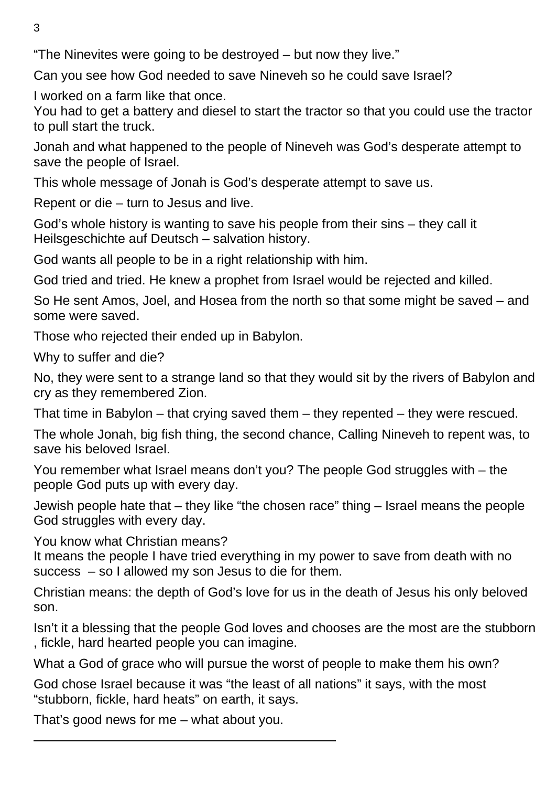"The Ninevites were going to be destroyed – but now they live."

Can you see how God needed to save Nineveh so he could save Israel?

I worked on a farm like that once.

You had to get a battery and diesel to start the tractor so that you could use the tractor to pull start the truck.

Jonah and what happened to the people of Nineveh was God's desperate attempt to save the people of Israel.

This whole message of Jonah is God's desperate attempt to save us.

Repent or die – turn to Jesus and live.

God's whole history is wanting to save his people from their sins – they call it Heilsgeschichte auf Deutsch – salvation history.

God wants all people to be in a right relationship with him.

God tried and tried. He knew a prophet from Israel would be rejected and killed.

So He sent Amos, Joel, and Hosea from the north so that some might be saved – and some were saved.

Those who rejected their ended up in Babylon.

Why to suffer and die?

No, they were sent to a strange land so that they would sit by the rivers of Babylon and cry as they remembered Zion.

That time in Babylon – that crying saved them – they repented – they were rescued.

The whole Jonah, big fish thing, the second chance, Calling Nineveh to repent was, to save his beloved Israel.

You remember what Israel means don't you? The people God struggles with – the people God puts up with every day.

Jewish people hate that – they like "the chosen race" thing – Israel means the people God struggles with every day.

You know what Christian means?

It means the people I have tried everything in my power to save from death with no success – so I allowed my son Jesus to die for them.

Christian means: the depth of God's love for us in the death of Jesus his only beloved son.

Isn't it a blessing that the people God loves and chooses are the most are the stubborn , fickle, hard hearted people you can imagine.

What a God of grace who will pursue the worst of people to make them his own?

God chose Israel because it was "the least of all nations" it says, with the most "stubborn, fickle, hard heats" on earth, it says.

That's good news for me – what about you.